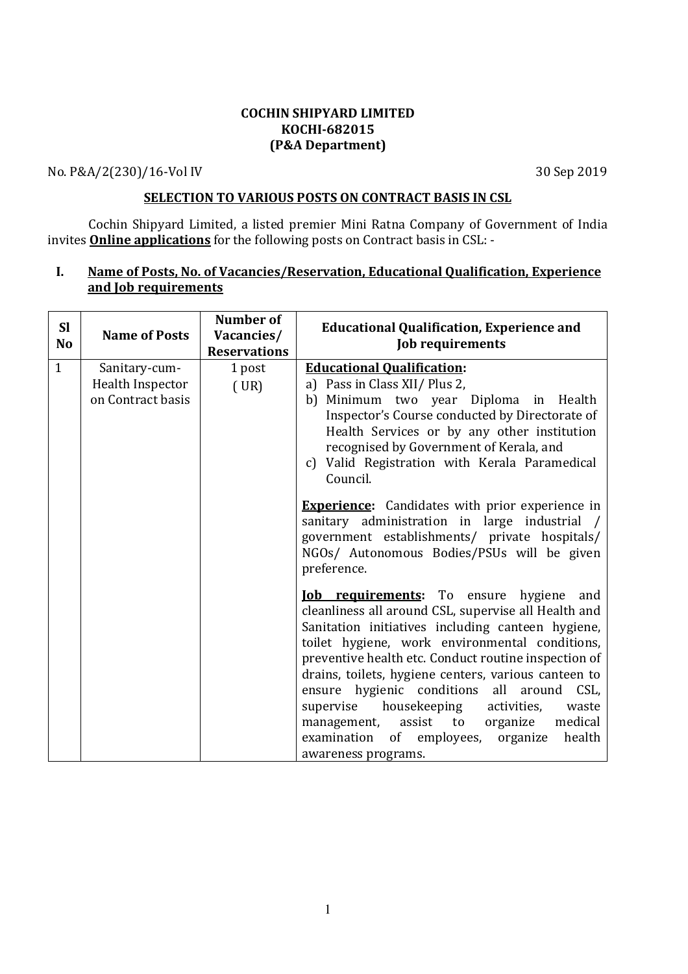## COCHIN SHIPYARD LIMITED KOCHI-682015 (P&A Department)

No. P&A/2(230)/16-Vol IV 30 Sep 2019

# SELECTION TO VARIOUS POSTS ON CONTRACT BASIS IN CSL

Cochin Shipyard Limited, a listed premier Mini Ratna Company of Government of India invites Online applications for the following posts on Contract basis in CSL: -

# I. Name of Posts, No. of Vacancies/Reservation, Educational Qualification, Experience and Job requirements

| <b>SI</b><br>No | <b>Name of Posts</b>              | <b>Number of</b><br>Vacancies/<br><b>Reservations</b> | <b>Educational Qualification, Experience and</b><br><b>Job requirements</b>                                                                                                                                                                                                                                                                                                                                                                                                                                                                                        |
|-----------------|-----------------------------------|-------------------------------------------------------|--------------------------------------------------------------------------------------------------------------------------------------------------------------------------------------------------------------------------------------------------------------------------------------------------------------------------------------------------------------------------------------------------------------------------------------------------------------------------------------------------------------------------------------------------------------------|
| $\mathbf{1}$    | Sanitary-cum-<br>Health Inspector | 1 post                                                | <b>Educational Qualification:</b><br>a) Pass in Class XII/ Plus 2,                                                                                                                                                                                                                                                                                                                                                                                                                                                                                                 |
|                 | on Contract basis                 | (UR)                                                  | b) Minimum two year Diploma in Health<br>Inspector's Course conducted by Directorate of<br>Health Services or by any other institution                                                                                                                                                                                                                                                                                                                                                                                                                             |
|                 |                                   |                                                       | recognised by Government of Kerala, and<br>c) Valid Registration with Kerala Paramedical<br>Council.                                                                                                                                                                                                                                                                                                                                                                                                                                                               |
|                 |                                   |                                                       | <b>Experience:</b> Candidates with prior experience in<br>sanitary administration in large industrial /<br>government establishments/ private hospitals/<br>NGOs/ Autonomous Bodies/PSUs will be given<br>preference.                                                                                                                                                                                                                                                                                                                                              |
|                 |                                   |                                                       | <b><u>Iob requirements</u></b> : To ensure hygiene<br>and<br>cleanliness all around CSL, supervise all Health and<br>Sanitation initiatives including canteen hygiene,<br>toilet hygiene, work environmental conditions,<br>preventive health etc. Conduct routine inspection of<br>drains, toilets, hygiene centers, various canteen to<br>ensure hygienic conditions all around CSL,<br>supervise housekeeping<br>activities,<br>waste<br>medical<br>assist<br>to organize<br>management,<br>examination of employees, organize<br>health<br>awareness programs. |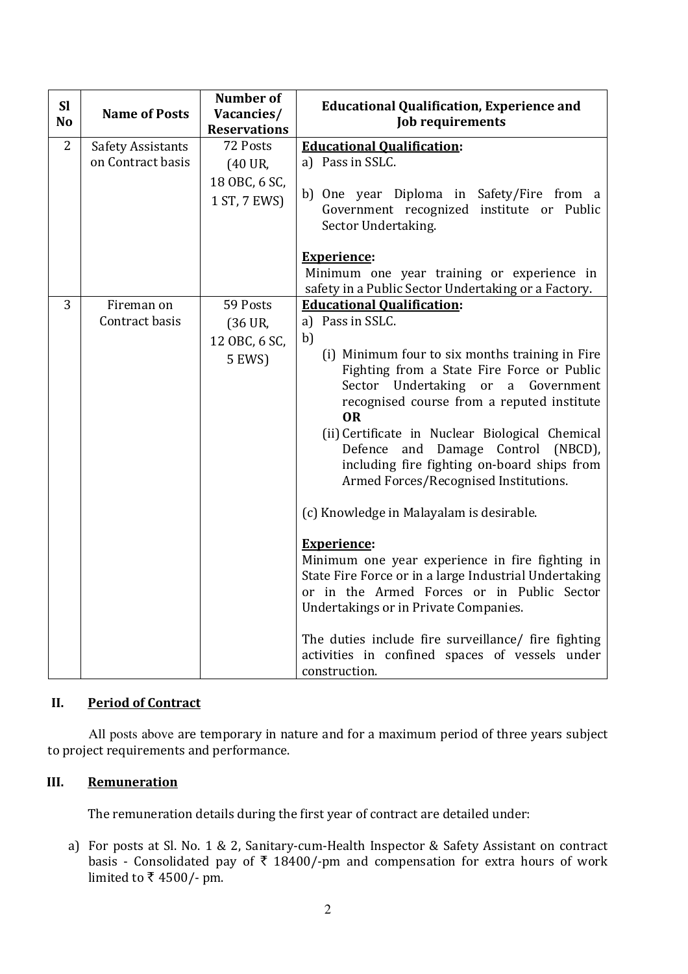| <b>SI</b><br>N <sub>o</sub> | <b>Name of Posts</b>                          | <b>Number of</b><br>Vacancies/<br><b>Reservations</b> | <b>Educational Qualification, Experience and</b><br><b>Job requirements</b>                                   |  |
|-----------------------------|-----------------------------------------------|-------------------------------------------------------|---------------------------------------------------------------------------------------------------------------|--|
| 2                           | <b>Safety Assistants</b><br>on Contract basis | 72 Posts                                              | <b>Educational Qualification:</b>                                                                             |  |
|                             |                                               | (40 UR,<br>18 OBC, 6 SC,                              | a) Pass in SSLC.                                                                                              |  |
|                             |                                               | 1 ST, 7 EWS)                                          | b) One year Diploma in Safety/Fire from a<br>Government recognized institute or Public<br>Sector Undertaking. |  |
|                             |                                               |                                                       | <b>Experience:</b>                                                                                            |  |
|                             |                                               |                                                       | Minimum one year training or experience in<br>safety in a Public Sector Undertaking or a Factory.             |  |
| 3                           | Fireman on                                    | 59 Posts                                              | <b>Educational Qualification:</b>                                                                             |  |
|                             | Contract basis                                | (36 UR,                                               | a) Pass in SSLC.                                                                                              |  |
|                             |                                               | 12 OBC, 6 SC,                                         | b)                                                                                                            |  |
|                             |                                               | 5 EWS)                                                | (i) Minimum four to six months training in Fire                                                               |  |
|                             |                                               |                                                       | Fighting from a State Fire Force or Public<br>Sector Undertaking or a Government                              |  |
|                             |                                               |                                                       | recognised course from a reputed institute                                                                    |  |
|                             |                                               |                                                       | <b>OR</b>                                                                                                     |  |
|                             |                                               |                                                       | (ii) Certificate in Nuclear Biological Chemical<br>Defence and Damage Control (NBCD),                         |  |
|                             |                                               |                                                       | including fire fighting on-board ships from                                                                   |  |
|                             |                                               |                                                       | Armed Forces/Recognised Institutions.                                                                         |  |
|                             |                                               |                                                       | (c) Knowledge in Malayalam is desirable.                                                                      |  |
|                             |                                               |                                                       | <b>Experience:</b>                                                                                            |  |
|                             |                                               |                                                       | Minimum one year experience in fire fighting in                                                               |  |
|                             |                                               |                                                       | State Fire Force or in a large Industrial Undertaking                                                         |  |
|                             |                                               |                                                       | or in the Armed Forces or in Public Sector<br>Undertakings or in Private Companies.                           |  |
|                             |                                               |                                                       | The duties include fire surveillance/ fire fighting<br>activities in confined spaces of vessels under         |  |
|                             |                                               |                                                       | construction.                                                                                                 |  |

# II. Period of Contract

All posts above are temporary in nature and for a maximum period of three years subject to project requirements and performance.

## III. Remuneration

The remuneration details during the first year of contract are detailed under:

a) For posts at Sl. No. 1 & 2, Sanitary-cum-Health Inspector & Safety Assistant on contract basis - Consolidated pay of  $\overline{\xi}$  18400/-pm and compensation for extra hours of work limited to  $\overline{\mathfrak{k}}$  4500/- pm.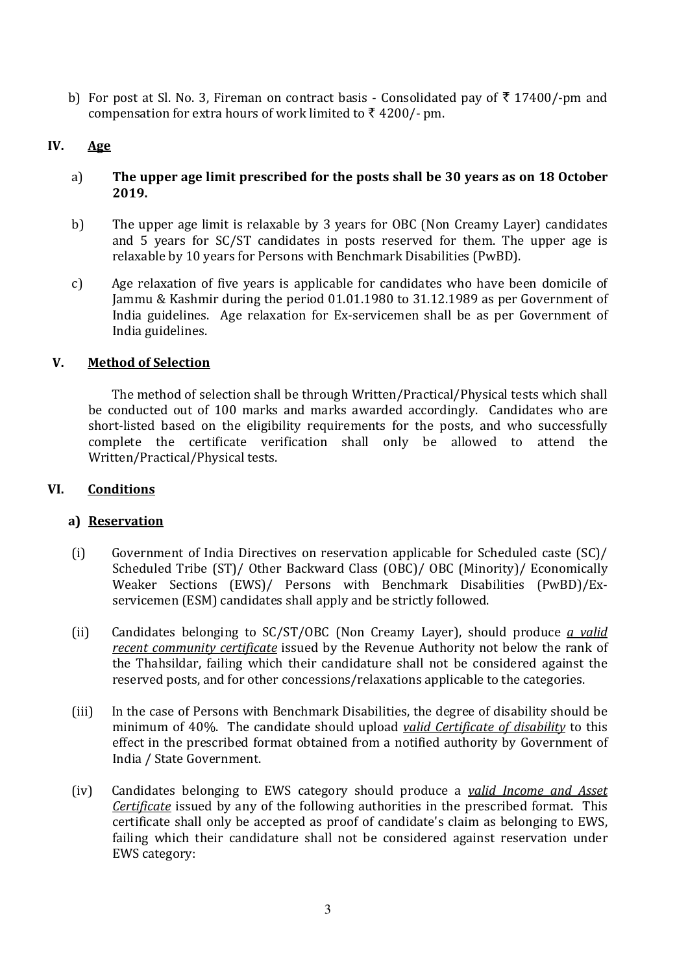b) For post at Sl. No. 3, Fireman on contract basis - Consolidated pay of  $\bar{\tau}$  17400/-pm and compensation for extra hours of work limited to  $\bar{\tau}$  4200/- pm.

# IV. Age

- a) The upper age limit prescribed for the posts shall be 30 years as on 18 October 2019.
- b) The upper age limit is relaxable by 3 years for OBC (Non Creamy Layer) candidates and 5 years for SC/ST candidates in posts reserved for them. The upper age is relaxable by 10 years for Persons with Benchmark Disabilities (PwBD).
- c) Age relaxation of five years is applicable for candidates who have been domicile of Jammu & Kashmir during the period 01.01.1980 to 31.12.1989 as per Government of India guidelines. Age relaxation for Ex-servicemen shall be as per Government of India guidelines.

# V. Method of Selection

The method of selection shall be through Written/Practical/Physical tests which shall be conducted out of 100 marks and marks awarded accordingly. Candidates who are short-listed based on the eligibility requirements for the posts, and who successfully complete the certificate verification shall only be allowed to attend the Written/Practical/Physical tests.

## VI. Conditions

# a) Reservation

- (i) Government of India Directives on reservation applicable for Scheduled caste (SC)/ Scheduled Tribe (ST)/ Other Backward Class (OBC)/ OBC (Minority)/ Economically Weaker Sections (EWS)/ Persons with Benchmark Disabilities (PwBD)/Exservicemen (ESM) candidates shall apply and be strictly followed.
- (ii) Candidates belonging to SC/ST/OBC (Non Creamy Layer), should produce a valid recent community certificate issued by the Revenue Authority not below the rank of the Thahsildar, failing which their candidature shall not be considered against the reserved posts, and for other concessions/relaxations applicable to the categories.
- (iii) In the case of Persons with Benchmark Disabilities, the degree of disability should be minimum of 40%. The candidate should upload valid Certificate of disability to this effect in the prescribed format obtained from a notified authority by Government of India / State Government.
- (iv) Candidates belonging to EWS category should produce a valid Income and Asset Certificate issued by any of the following authorities in the prescribed format. This certificate shall only be accepted as proof of candidate's claim as belonging to EWS, failing which their candidature shall not be considered against reservation under EWS category: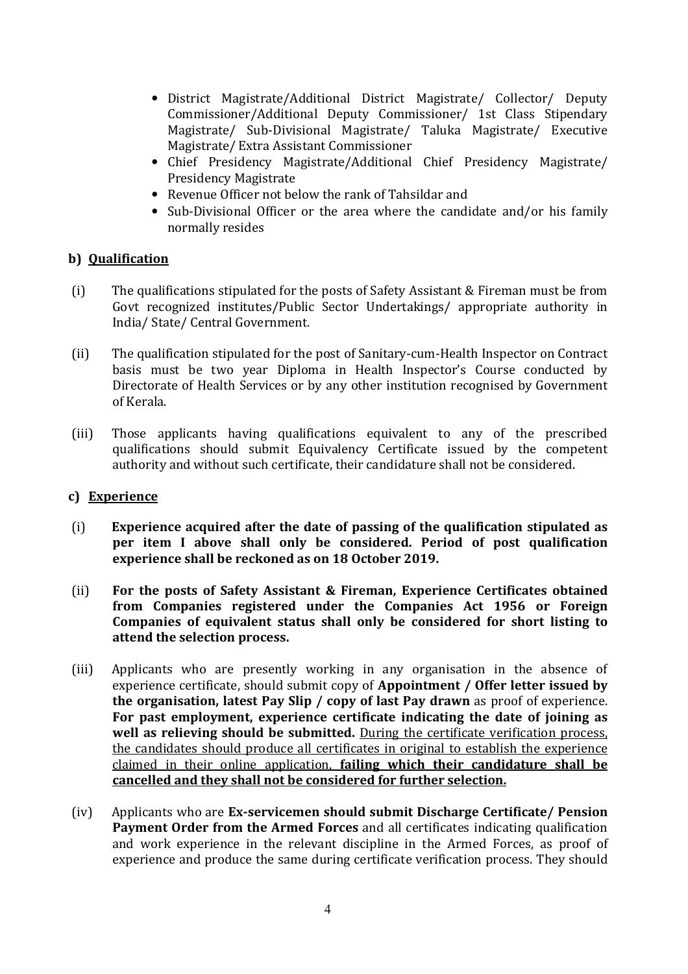- District Magistrate/Additional District Magistrate/ Collector/ Deputy Commissioner/Additional Deputy Commissioner/ 1st Class Stipendary Magistrate/ Sub-Divisional Magistrate/ Taluka Magistrate/ Executive Magistrate/ Extra Assistant Commissioner
- Chief Presidency Magistrate/Additional Chief Presidency Magistrate/ Presidency Magistrate
- Revenue Officer not below the rank of Tahsildar and
- Sub-Divisional Officer or the area where the candidate and/or his family normally resides

### b) Qualification

- (i) The qualifications stipulated for the posts of Safety Assistant & Fireman must be from Govt recognized institutes/Public Sector Undertakings/ appropriate authority in India/ State/ Central Government.
- (ii) The qualification stipulated for the post of Sanitary-cum-Health Inspector on Contract basis must be two year Diploma in Health Inspector's Course conducted by Directorate of Health Services or by any other institution recognised by Government of Kerala.
- (iii) Those applicants having qualifications equivalent to any of the prescribed qualifications should submit Equivalency Certificate issued by the competent authority and without such certificate, their candidature shall not be considered.

#### c) Experience

- (i) Experience acquired after the date of passing of the qualification stipulated as per item I above shall only be considered. Period of post qualification experience shall be reckoned as on 18 October 2019.
- (ii) For the posts of Safety Assistant & Fireman, Experience Certificates obtained from Companies registered under the Companies Act 1956 or Foreign Companies of equivalent status shall only be considered for short listing to attend the selection process.
- (iii) Applicants who are presently working in any organisation in the absence of experience certificate, should submit copy of Appointment / Offer letter issued by the organisation, latest Pay Slip / copy of last Pay drawn as proof of experience. For past employment, experience certificate indicating the date of joining as well as relieving should be submitted. During the certificate verification process, the candidates should produce all certificates in original to establish the experience claimed in their online application, failing which their candidature shall be cancelled and they shall not be considered for further selection.
- (iv) Applicants who are Ex-servicemen should submit Discharge Certificate/ Pension Payment Order from the Armed Forces and all certificates indicating qualification and work experience in the relevant discipline in the Armed Forces, as proof of experience and produce the same during certificate verification process. They should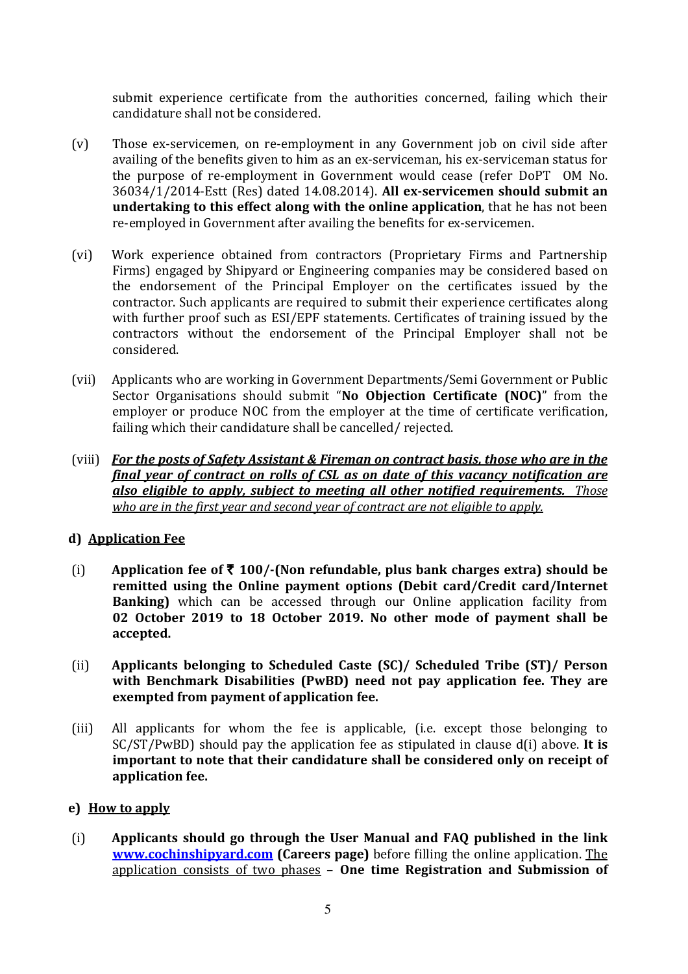submit experience certificate from the authorities concerned, failing which their candidature shall not be considered.

- (v) Those ex-servicemen, on re-employment in any Government job on civil side after availing of the benefits given to him as an ex-serviceman, his ex-serviceman status for the purpose of re-employment in Government would cease (refer DoPT OM No. 36034/1/2014-Estt (Res) dated 14.08.2014). All ex-servicemen should submit an undertaking to this effect along with the online application, that he has not been re-employed in Government after availing the benefits for ex-servicemen.
- (vi) Work experience obtained from contractors (Proprietary Firms and Partnership Firms) engaged by Shipyard or Engineering companies may be considered based on the endorsement of the Principal Employer on the certificates issued by the contractor. Such applicants are required to submit their experience certificates along with further proof such as ESI/EPF statements. Certificates of training issued by the contractors without the endorsement of the Principal Employer shall not be considered.
- (vii) Applicants who are working in Government Departments/Semi Government or Public Sector Organisations should submit "No Objection Certificate (NOC)" from the employer or produce NOC from the employer at the time of certificate verification, failing which their candidature shall be cancelled/ rejected.
- (viii) For the posts of Safety Assistant & Fireman on contract basis, those who are in the final year of contract on rolls of CSL as on date of this vacancy notification are also eligible to apply, subject to meeting all other notified requirements. Those who are in the first year and second year of contract are not eligible to apply.

# d) Application Fee

- (i) Application fee of  $\bar{\tau}$  100/-(Non refundable, plus bank charges extra) should be remitted using the Online payment options (Debit card/Credit card/Internet **Banking**) which can be accessed through our Online application facility from 02 October 2019 to 18 October 2019. No other mode of payment shall be accepted.
- (ii) Applicants belonging to Scheduled Caste (SC)/ Scheduled Tribe (ST)/ Person with Benchmark Disabilities (PwBD) need not pay application fee. They are exempted from payment of application fee.
- (iii) All applicants for whom the fee is applicable, (i.e. except those belonging to  $SC/ST/PwBD$ ) should pay the application fee as stipulated in clause  $d(i)$  above. It is important to note that their candidature shall be considered only on receipt of application fee.

#### e) How to apply

(i) Applicants should go through the User Manual and FAQ published in the link www.cochinshipyard.com (Careers page) before filling the online application. The application consists of two phases – One time Registration and Submission of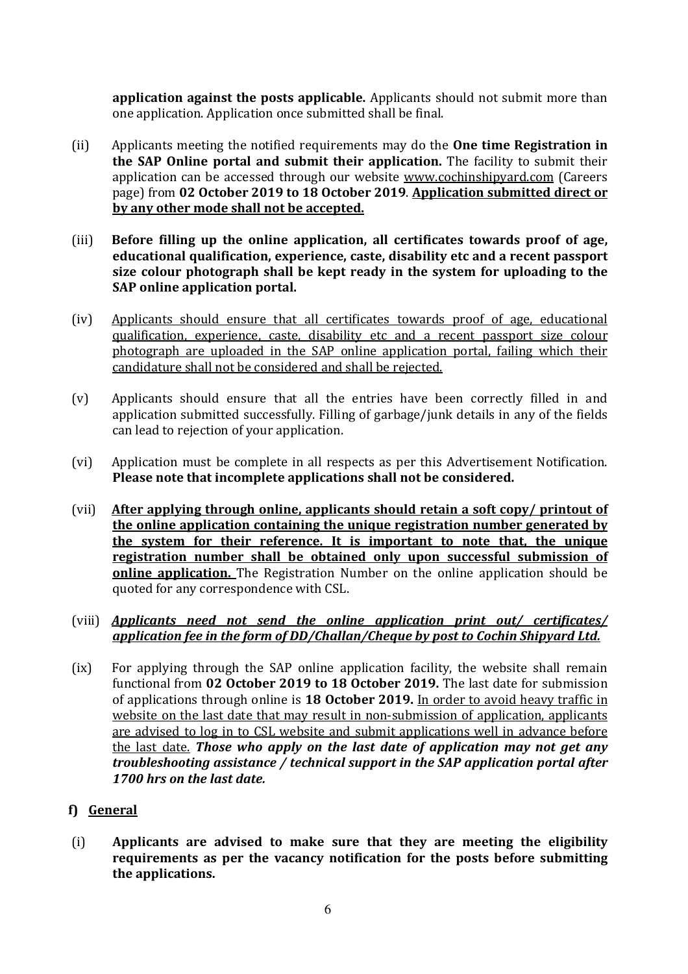application against the posts applicable. Applicants should not submit more than one application. Application once submitted shall be final.

- (ii) Applicants meeting the notified requirements may do the One time Registration in the SAP Online portal and submit their application. The facility to submit their application can be accessed through our website www.cochinshipyard.com (Careers page) from 02 October 2019 to 18 October 2019. Application submitted direct or by any other mode shall not be accepted.
- (iii) Before filling up the online application, all certificates towards proof of age, educational qualification, experience, caste, disability etc and a recent passport size colour photograph shall be kept ready in the system for uploading to the SAP online application portal.
- (iv) Applicants should ensure that all certificates towards proof of age, educational qualification, experience, caste, disability etc and a recent passport size colour photograph are uploaded in the SAP online application portal, failing which their candidature shall not be considered and shall be rejected.
- (v) Applicants should ensure that all the entries have been correctly filled in and application submitted successfully. Filling of garbage/junk details in any of the fields can lead to rejection of your application.
- (vi) Application must be complete in all respects as per this Advertisement Notification. Please note that incomplete applications shall not be considered.
- (vii) After applying through online, applicants should retain a soft copy/ printout of the online application containing the unique registration number generated by the system for their reference. It is important to note that, the unique registration number shall be obtained only upon successful submission of online application. The Registration Number on the online application should be quoted for any correspondence with CSL.
- (viii) **Applicants need not send the online application print out/ certificates/** application fee in the form of DD/Challan/Cheque by post to Cochin Shipyard Ltd.
- (ix) For applying through the SAP online application facility, the website shall remain functional from 02 October 2019 to 18 October 2019. The last date for submission of applications through online is 18 October 2019. In order to avoid heavy traffic in website on the last date that may result in non-submission of application, applicants are advised to log in to CSL website and submit applications well in advance before the last date. Those who apply on the last date of application may not get any troubleshooting assistance / technical support in the SAP application portal after 1700 hrs on the last date.
- f) General
- (i) Applicants are advised to make sure that they are meeting the eligibility requirements as per the vacancy notification for the posts before submitting the applications.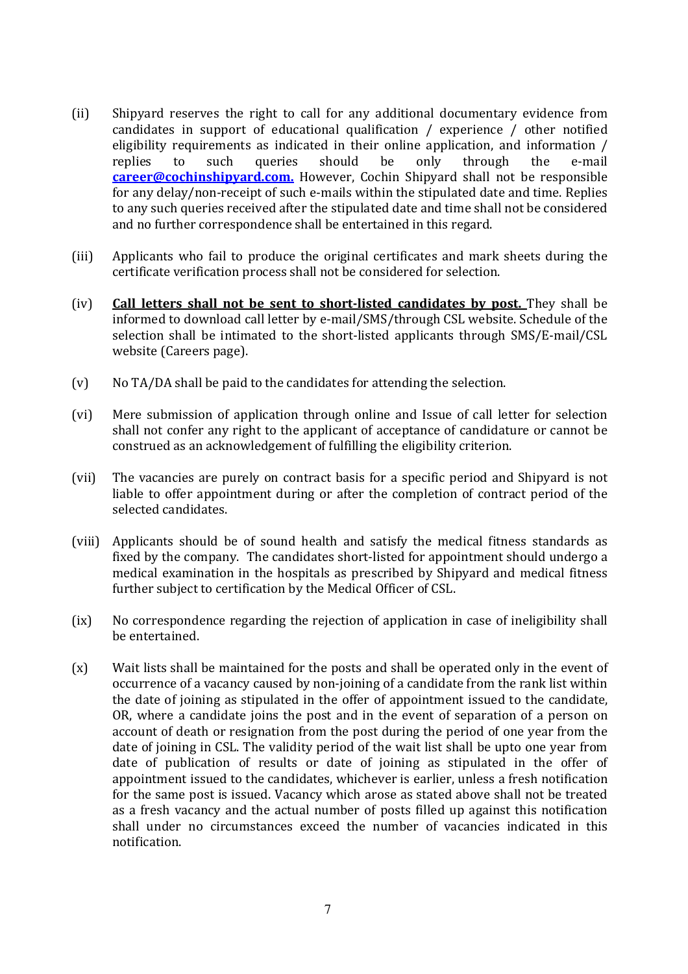- (ii) Shipyard reserves the right to call for any additional documentary evidence from candidates in support of educational qualification / experience / other notified eligibility requirements as indicated in their online application, and information / replies to such queries should be only through the e-mail career@cochinshipyard.com. However, Cochin Shipyard shall not be responsible for any delay/non-receipt of such e-mails within the stipulated date and time. Replies to any such queries received after the stipulated date and time shall not be considered and no further correspondence shall be entertained in this regard.
- (iii) Applicants who fail to produce the original certificates and mark sheets during the certificate verification process shall not be considered for selection.
- (iv) Call letters shall not be sent to short-listed candidates by post. They shall be informed to download call letter by e-mail/SMS/through CSL website. Schedule of the selection shall be intimated to the short-listed applicants through SMS/E-mail/CSL website (Careers page).
- (v) No TA/DA shall be paid to the candidates for attending the selection.
- (vi) Mere submission of application through online and Issue of call letter for selection shall not confer any right to the applicant of acceptance of candidature or cannot be construed as an acknowledgement of fulfilling the eligibility criterion.
- (vii) The vacancies are purely on contract basis for a specific period and Shipyard is not liable to offer appointment during or after the completion of contract period of the selected candidates.
- (viii) Applicants should be of sound health and satisfy the medical fitness standards as fixed by the company. The candidates short-listed for appointment should undergo a medical examination in the hospitals as prescribed by Shipyard and medical fitness further subject to certification by the Medical Officer of CSL.
- (ix) No correspondence regarding the rejection of application in case of ineligibility shall be entertained.
- (x) Wait lists shall be maintained for the posts and shall be operated only in the event of occurrence of a vacancy caused by non-joining of a candidate from the rank list within the date of joining as stipulated in the offer of appointment issued to the candidate, OR, where a candidate joins the post and in the event of separation of a person on account of death or resignation from the post during the period of one year from the date of joining in CSL. The validity period of the wait list shall be upto one year from date of publication of results or date of joining as stipulated in the offer of appointment issued to the candidates, whichever is earlier, unless a fresh notification for the same post is issued. Vacancy which arose as stated above shall not be treated as a fresh vacancy and the actual number of posts filled up against this notification shall under no circumstances exceed the number of vacancies indicated in this notification.